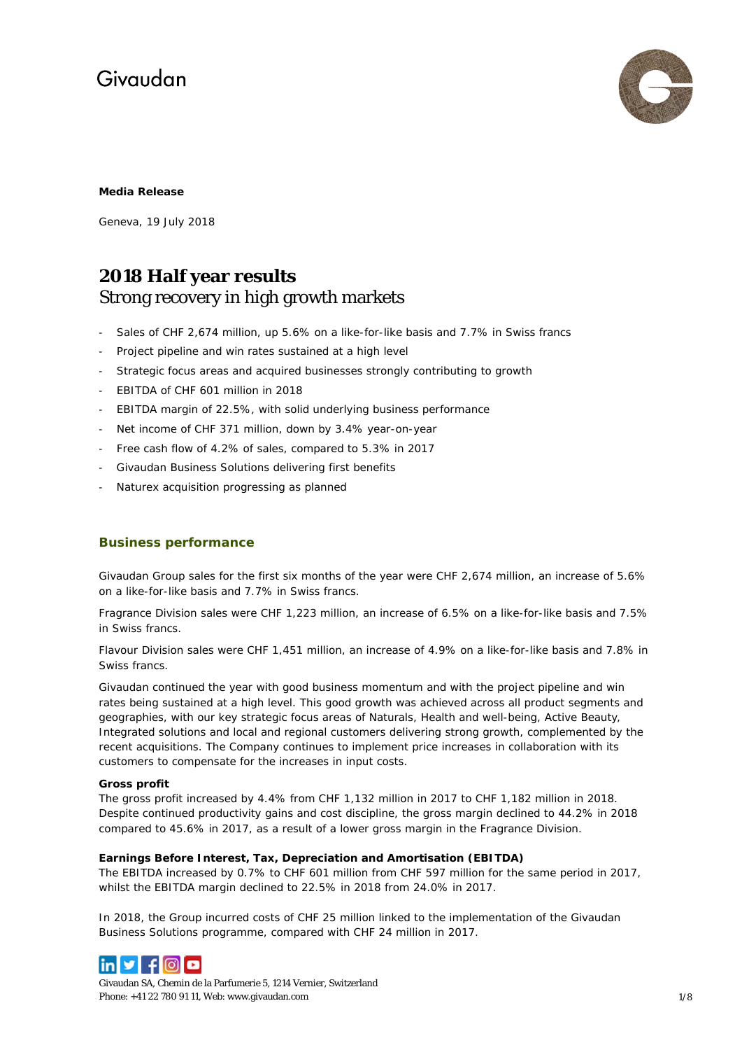

### **Media Release**

Geneva, 19 July 2018

### **2018 Half year results** Strong recovery in high growth markets

- Sales of CHF 2,674 million, up 5.6% on a like-for-like basis and 7.7% in Swiss francs
- Project pipeline and win rates sustained at a high level
- Strategic focus areas and acquired businesses strongly contributing to growth
- EBITDA of CHF 601 million in 2018
- EBITDA margin of 22.5%, with solid underlying business performance
- Net income of CHF 371 million, down by 3.4% year-on-year
- Free cash flow of 4.2% of sales, compared to 5.3% in 2017
- Givaudan Business Solutions delivering first benefits
- Naturex acquisition progressing as planned

### **Business performance**

Givaudan Group sales for the first six months of the year were CHF 2,674 million, an increase of 5.6% on a like-for-like basis and 7.7% in Swiss francs.

Fragrance Division sales were CHF 1,223 million, an increase of 6.5% on a like-for-like basis and 7.5% in Swiss francs.

Flavour Division sales were CHF 1,451 million, an increase of 4.9% on a like-for-like basis and 7.8% in Swiss francs.

Givaudan continued the year with good business momentum and with the project pipeline and win rates being sustained at a high level. This good growth was achieved across all product segments and geographies, with our key strategic focus areas of Naturals, Health and well-being, Active Beauty, Integrated solutions and local and regional customers delivering strong growth, complemented by the recent acquisitions. The Company continues to implement price increases in collaboration with its customers to compensate for the increases in input costs.

### **Gross profit**

The gross profit increased by 4.4% from CHF 1,132 million in 2017 to CHF 1,182 million in 2018. Despite continued productivity gains and cost discipline, the gross margin declined to 44.2% in 2018 compared to 45.6% in 2017, as a result of a lower gross margin in the Fragrance Division.

### **Earnings Before Interest, Tax, Depreciation and Amortisation (EBITDA)**

The EBITDA increased by 0.7% to CHF 601 million from CHF 597 million for the same period in 2017, whilst the EBITDA margin declined to 22.5% in 2018 from 24.0% in 2017.

In 2018, the Group incurred costs of CHF 25 million linked to the implementation of the Givaudan Business Solutions programme, compared with CHF 24 million in 2017.



Givaudan SA, Chemin de la Parfumerie 5, 1214 Vernier, Switzerland Phone: +41 22 780 91 11, Web[: www.givaudan.com](http://www.givaudan.com/) 1/8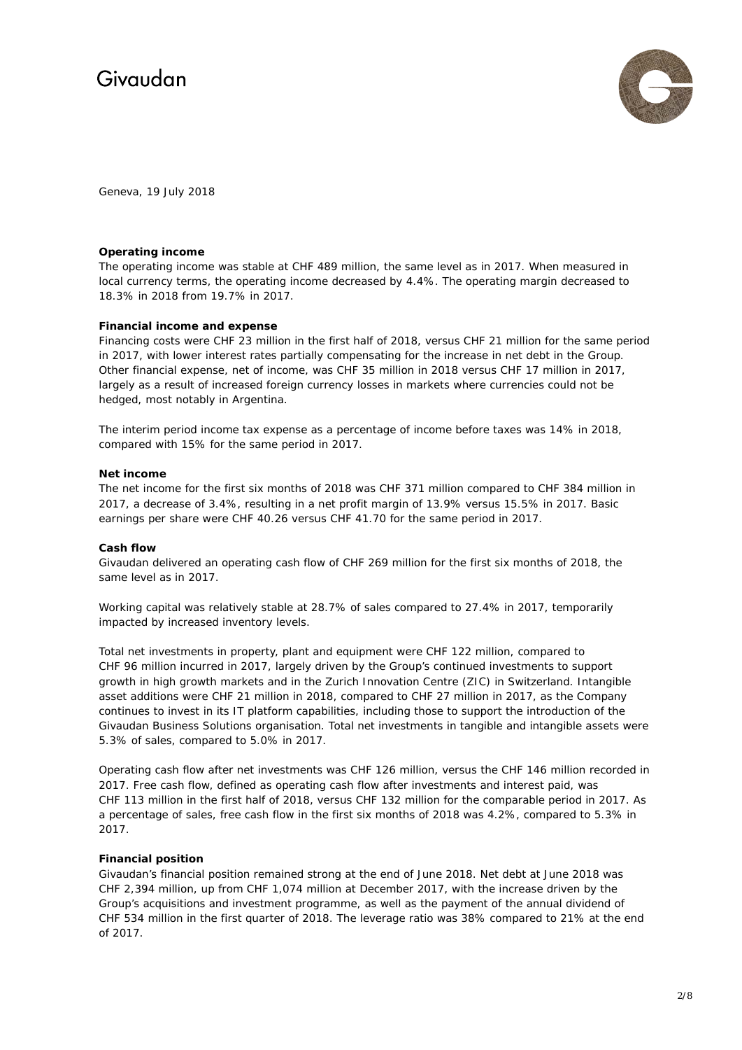

Geneva, 19 July 2018

#### **Operating income**

The operating income was stable at CHF 489 million, the same level as in 2017. When measured in local currency terms, the operating income decreased by 4.4%. The operating margin decreased to 18.3% in 2018 from 19.7% in 2017.

### **Financial income and expense**

Financing costs were CHF 23 million in the first half of 2018, versus CHF 21 million for the same period in 2017, with lower interest rates partially compensating for the increase in net debt in the Group. Other financial expense, net of income, was CHF 35 million in 2018 versus CHF 17 million in 2017, largely as a result of increased foreign currency losses in markets where currencies could not be hedged, most notably in Argentina.

The interim period income tax expense as a percentage of income before taxes was 14% in 2018, compared with 15% for the same period in 2017.

#### **Net income**

The net income for the first six months of 2018 was CHF 371 million compared to CHF 384 million in 2017, a decrease of 3.4%, resulting in a net profit margin of 13.9% versus 15.5% in 2017. Basic earnings per share were CHF 40.26 versus CHF 41.70 for the same period in 2017.

#### **Cash flow**

Givaudan delivered an operating cash flow of CHF 269 million for the first six months of 2018, the same level as in 2017.

Working capital was relatively stable at 28.7% of sales compared to 27.4% in 2017, temporarily impacted by increased inventory levels.

Total net investments in property, plant and equipment were CHF 122 million, compared to CHF 96 million incurred in 2017, largely driven by the Group's continued investments to support growth in high growth markets and in the Zurich Innovation Centre (ZIC) in Switzerland. Intangible asset additions were CHF 21 million in 2018, compared to CHF 27 million in 2017, as the Company continues to invest in its IT platform capabilities, including those to support the introduction of the Givaudan Business Solutions organisation. Total net investments in tangible and intangible assets were 5.3% of sales, compared to 5.0% in 2017.

Operating cash flow after net investments was CHF 126 million, versus the CHF 146 million recorded in 2017. Free cash flow, defined as operating cash flow after investments and interest paid, was CHF 113 million in the first half of 2018, versus CHF 132 million for the comparable period in 2017. As a percentage of sales, free cash flow in the first six months of 2018 was 4.2%, compared to 5.3% in 2017.

### **Financial position**

Givaudan's financial position remained strong at the end of June 2018. Net debt at June 2018 was CHF 2,394 million, up from CHF 1,074 million at December 2017, with the increase driven by the Group's acquisitions and investment programme, as well as the payment of the annual dividend of CHF 534 million in the first quarter of 2018. The leverage ratio was 38% compared to 21% at the end of 2017.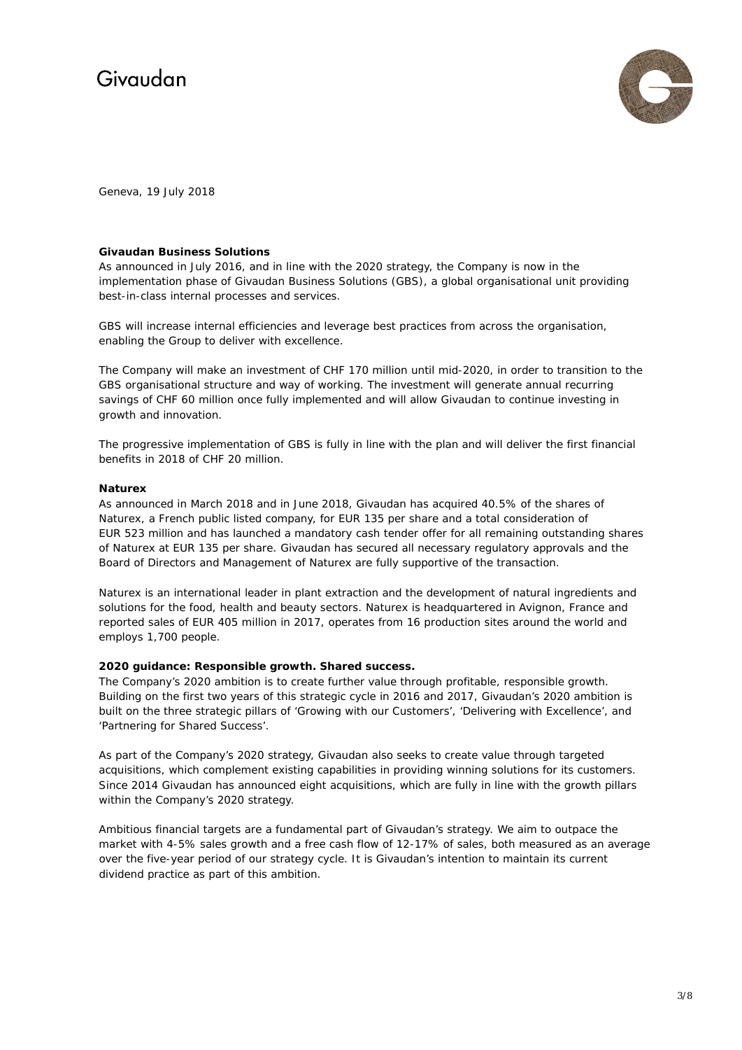

Geneva, 19 July 2018

### **Givaudan Business Solutions**

As announced in July 2016, and in line with the 2020 strategy, the Company is now in the implementation phase of Givaudan Business Solutions (GBS), a global organisational unit providing best-in-class internal processes and services.

GBS will increase internal efficiencies and leverage best practices from across the organisation, enabling the Group to deliver with excellence.

The Company will make an investment of CHF 170 million until mid-2020, in order to transition to the GBS organisational structure and way of working. The investment will generate annual recurring savings of CHF 60 million once fully implemented and will allow Givaudan to continue investing in growth and innovation.

The progressive implementation of GBS is fully in line with the plan and will deliver the first financial benefits in 2018 of CHF 20 million.

### **Naturex**

As announced in March 2018 and in June 2018, Givaudan has acquired 40.5% of the shares of Naturex, a French public listed company, for EUR 135 per share and a total consideration of EUR 523 million and has launched a mandatory cash tender offer for all remaining outstanding shares of Naturex at EUR 135 per share. Givaudan has secured all necessary regulatory approvals and the Board of Directors and Management of Naturex are fully supportive of the transaction.

Naturex is an international leader in plant extraction and the development of natural ingredients and solutions for the food, health and beauty sectors. Naturex is headquartered in Avignon, France and reported sales of EUR 405 million in 2017, operates from 16 production sites around the world and employs 1,700 people.

### **2020 guidance: Responsible growth. Shared success.**

The Company's 2020 ambition is to create further value through profitable, responsible growth. Building on the first two years of this strategic cycle in 2016 and 2017, Givaudan's 2020 ambition is built on the three strategic pillars of 'Growing with our Customers', 'Delivering with Excellence', and 'Partnering for Shared Success'.

As part of the Company's 2020 strategy, Givaudan also seeks to create value through targeted acquisitions, which complement existing capabilities in providing winning solutions for its customers. Since 2014 Givaudan has announced eight acquisitions, which are fully in line with the growth pillars within the Company's 2020 strategy.

Ambitious financial targets are a fundamental part of Givaudan's strategy. We aim to outpace the market with 4-5% sales growth and a free cash flow of 12-17% of sales, both measured as an average over the five-year period of our strategy cycle. It is Givaudan's intention to maintain its current dividend practice as part of this ambition.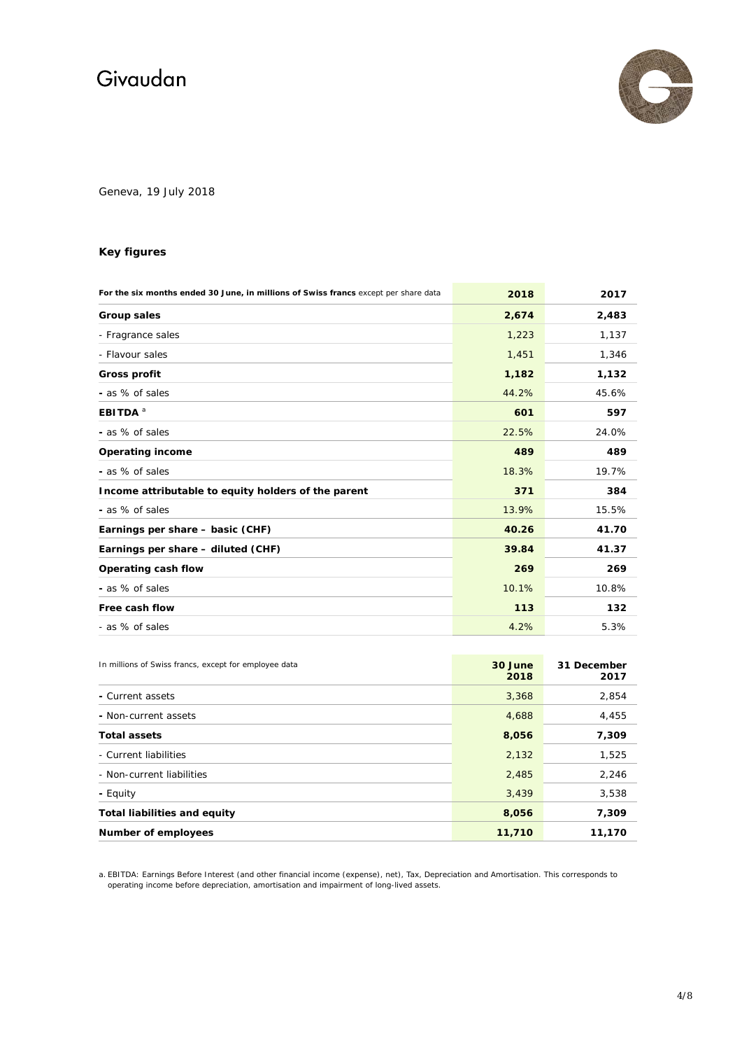

Geneva, 19 July 2018

### **Key figures**

| For the six months ended 30 June, in millions of Swiss francs except per share data | 2018  | 2017  |
|-------------------------------------------------------------------------------------|-------|-------|
| <b>Group sales</b>                                                                  | 2,674 | 2,483 |
| - Fragrance sales                                                                   | 1,223 | 1,137 |
| - Flavour sales                                                                     | 1,451 | 1,346 |
| <b>Gross profit</b>                                                                 | 1,182 | 1,132 |
| - as % of sales                                                                     | 44.2% | 45.6% |
| EBITDA <sup>a</sup>                                                                 | 601   | 597   |
| - as % of sales                                                                     | 22.5% | 24.0% |
| <b>Operating income</b>                                                             | 489   | 489   |
| - as % of sales                                                                     | 18.3% | 19.7% |
| Income attributable to equity holders of the parent                                 | 371   | 384   |
| - as % of sales                                                                     | 13.9% | 15.5% |
| Earnings per share - basic (CHF)                                                    | 40.26 | 41.70 |
| Earnings per share - diluted (CHF)                                                  | 39.84 | 41.37 |
| Operating cash flow                                                                 | 269   | 269   |
| - as % of sales                                                                     | 10.1% | 10.8% |
| Free cash flow                                                                      | 113   | 132   |
| - as % of sales                                                                     | 4.2%  | 5.3%  |

| In millions of Swiss francs, except for employee data | 30 June<br>2018 | 31 December<br>2017 |
|-------------------------------------------------------|-----------------|---------------------|
| - Current assets                                      | 3,368           | 2,854               |
| - Non-current assets                                  | 4,688           | 4,455               |
| <b>Total assets</b>                                   | 8,056           | 7,309               |
| - Current liabilities                                 | 2,132           | 1,525               |
| - Non-current liabilities                             | 2,485           | 2,246               |
| - Equity                                              | 3,439           | 3,538               |
| <b>Total liabilities and equity</b>                   | 8,056           | 7,309               |
| Number of employees                                   | 11,710          | 11,170              |

a. EBITDA: Earnings Before Interest (and other financial income (expense), net), Tax, Depreciation and Amortisation. This corresponds to operating income before depreciation, amortisation and impairment of long-lived assets.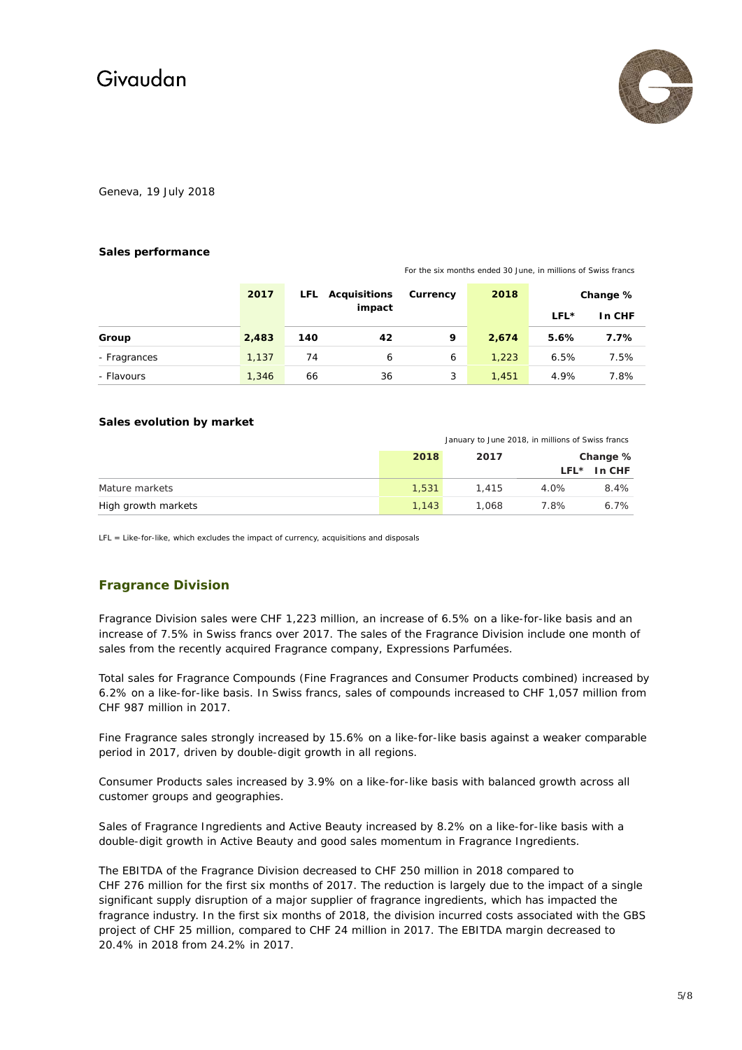

Geneva, 19 July 2018

#### **Sales performance**

For the six months ended 30 June, in millions of Swiss francs

|              | 2017  |     | LFL Acquisitions<br>impact | Currency | 2018  | LFL* | Change %<br>In CHF |
|--------------|-------|-----|----------------------------|----------|-------|------|--------------------|
| Group        | 2,483 | 140 | 42                         | 9        | 2,674 | 5.6% | 7.7%               |
| - Fragrances | 1,137 | 74  | 6                          | 6        | 1,223 | 6.5% | 7.5%               |
| - Flavours   | 1,346 | 66  | 36                         | 3        | 1.451 | 4.9% | 7.8%               |

### **Sales evolution by market**

|                     |       | January to June 2018, in millions of Swiss francs |      |               |
|---------------------|-------|---------------------------------------------------|------|---------------|
|                     | 2018  | 2017                                              |      | Change %      |
|                     |       |                                                   |      | $LFL*$ In CHF |
| Mature markets      | 1.531 | 1.415                                             | 4.0% | $8.4\%$       |
| High growth markets | 1.143 | 1.068                                             | 7.8% | 6.7%          |

LFL = Like-for-like, which excludes the impact of currency, acquisitions and disposals

### **Fragrance Division**

Fragrance Division sales were CHF 1,223 million, an increase of 6.5% on a like-for-like basis and an increase of 7.5% in Swiss francs over 2017. The sales of the Fragrance Division include one month of sales from the recently acquired Fragrance company, Expressions Parfumées.

Total sales for Fragrance Compounds (Fine Fragrances and Consumer Products combined) increased by 6.2% on a like-for-like basis. In Swiss francs, sales of compounds increased to CHF 1,057 million from CHF 987 million in 2017.

Fine Fragrance sales strongly increased by 15.6% on a like-for-like basis against a weaker comparable period in 2017, driven by double-digit growth in all regions.

Consumer Products sales increased by 3.9% on a like-for-like basis with balanced growth across all customer groups and geographies.

Sales of Fragrance Ingredients and Active Beauty increased by 8.2% on a like-for-like basis with a double-digit growth in Active Beauty and good sales momentum in Fragrance Ingredients.

The EBITDA of the Fragrance Division decreased to CHF 250 million in 2018 compared to CHF 276 million for the first six months of 2017. The reduction is largely due to the impact of a single significant supply disruption of a major supplier of fragrance ingredients, which has impacted the fragrance industry. In the first six months of 2018, the division incurred costs associated with the GBS project of CHF 25 million, compared to CHF 24 million in 2017. The EBITDA margin decreased to 20.4% in 2018 from 24.2% in 2017.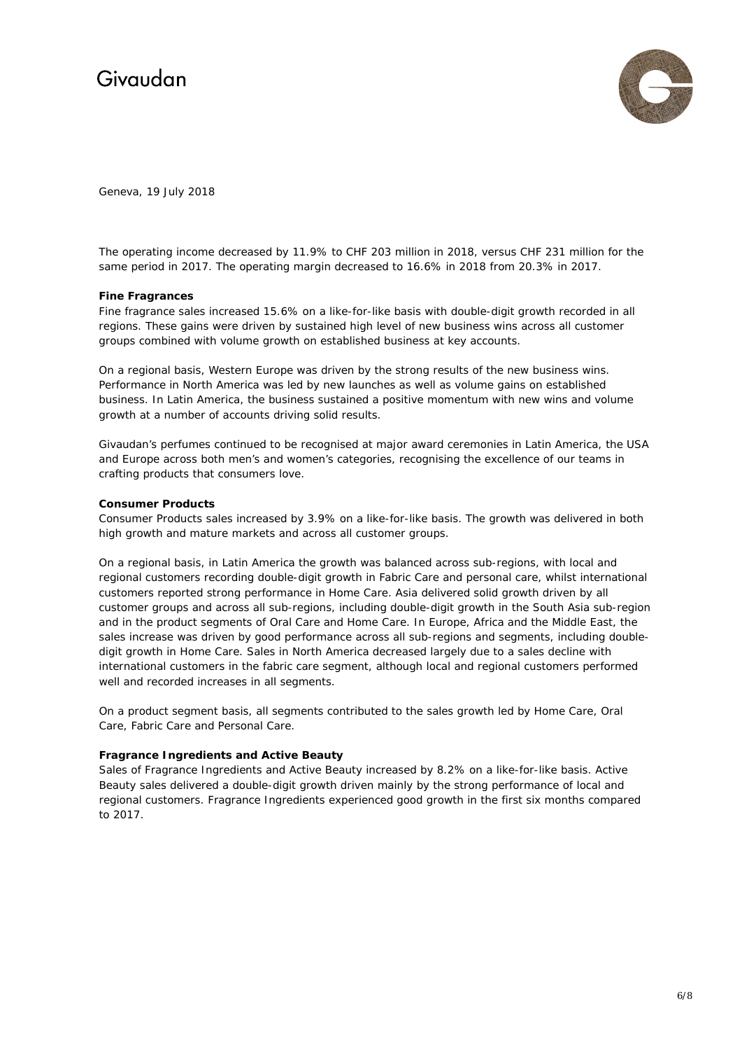

Geneva, 19 July 2018

The operating income decreased by 11.9% to CHF 203 million in 2018, versus CHF 231 million for the same period in 2017. The operating margin decreased to 16.6% in 2018 from 20.3% in 2017.

### **Fine Fragrances**

Fine fragrance sales increased 15.6% on a like-for-like basis with double-digit growth recorded in all regions. These gains were driven by sustained high level of new business wins across all customer groups combined with volume growth on established business at key accounts.

On a regional basis, Western Europe was driven by the strong results of the new business wins. Performance in North America was led by new launches as well as volume gains on established business. In Latin America, the business sustained a positive momentum with new wins and volume growth at a number of accounts driving solid results.

Givaudan's perfumes continued to be recognised at major award ceremonies in Latin America, the USA and Europe across both men's and women's categories, recognising the excellence of our teams in crafting products that consumers love.

### **Consumer Products**

Consumer Products sales increased by 3.9% on a like-for-like basis. The growth was delivered in both high growth and mature markets and across all customer groups.

On a regional basis, in Latin America the growth was balanced across sub-regions, with local and regional customers recording double-digit growth in Fabric Care and personal care, whilst international customers reported strong performance in Home Care. Asia delivered solid growth driven by all customer groups and across all sub-regions, including double-digit growth in the South Asia sub-region and in the product segments of Oral Care and Home Care. In Europe, Africa and the Middle East, the sales increase was driven by good performance across all sub-regions and segments, including doubledigit growth in Home Care. Sales in North America decreased largely due to a sales decline with international customers in the fabric care segment, although local and regional customers performed well and recorded increases in all segments.

On a product segment basis, all segments contributed to the sales growth led by Home Care, Oral Care, Fabric Care and Personal Care.

### **Fragrance Ingredients and Active Beauty**

Sales of Fragrance Ingredients and Active Beauty increased by 8.2% on a like-for-like basis. Active Beauty sales delivered a double-digit growth driven mainly by the strong performance of local and regional customers. Fragrance Ingredients experienced good growth in the first six months compared to 2017.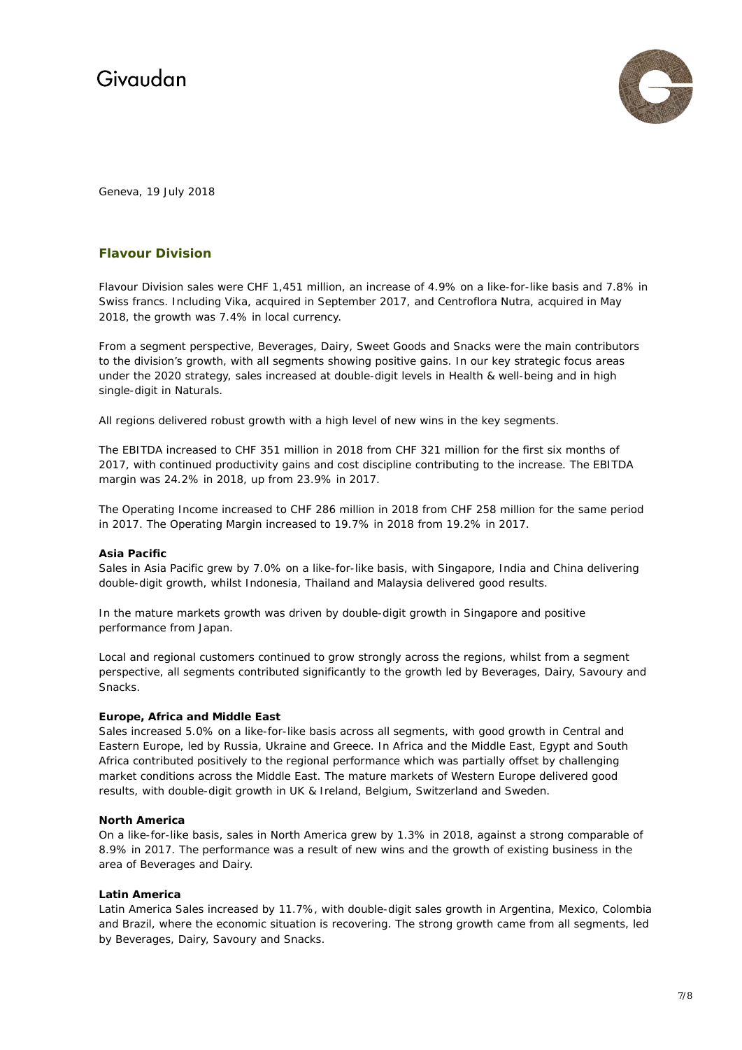

Geneva, 19 July 2018

### **Flavour Division**

Flavour Division sales were CHF 1,451 million, an increase of 4.9% on a like-for-like basis and 7.8% in Swiss francs. Including Vika, acquired in September 2017, and Centroflora Nutra, acquired in May 2018, the growth was 7.4% in local currency.

From a segment perspective, Beverages, Dairy, Sweet Goods and Snacks were the main contributors to the division's growth, with all segments showing positive gains. In our key strategic focus areas under the 2020 strategy, sales increased at double-digit levels in Health & well-being and in high single-digit in Naturals.

All regions delivered robust growth with a high level of new wins in the key segments.

The EBITDA increased to CHF 351 million in 2018 from CHF 321 million for the first six months of 2017, with continued productivity gains and cost discipline contributing to the increase. The EBITDA margin was 24.2% in 2018, up from 23.9% in 2017.

The Operating Income increased to CHF 286 million in 2018 from CHF 258 million for the same period in 2017. The Operating Margin increased to 19.7% in 2018 from 19.2% in 2017.

### **Asia Pacific**

Sales in Asia Pacific grew by 7.0% on a like-for-like basis, with Singapore, India and China delivering double-digit growth, whilst Indonesia, Thailand and Malaysia delivered good results.

In the mature markets growth was driven by double-digit growth in Singapore and positive performance from Japan.

Local and regional customers continued to grow strongly across the regions, whilst from a segment perspective, all segments contributed significantly to the growth led by Beverages, Dairy, Savoury and Snacks.

### **Europe, Africa and Middle East**

Sales increased 5.0% on a like-for-like basis across all segments, with good growth in Central and Eastern Europe, led by Russia, Ukraine and Greece. In Africa and the Middle East, Egypt and South Africa contributed positively to the regional performance which was partially offset by challenging market conditions across the Middle East. The mature markets of Western Europe delivered good results, with double-digit growth in UK & Ireland, Belgium, Switzerland and Sweden.

### **North America**

On a like-for-like basis, sales in North America grew by 1.3% in 2018, against a strong comparable of 8.9% in 2017. The performance was a result of new wins and the growth of existing business in the area of Beverages and Dairy.

### **Latin America**

Latin America Sales increased by 11.7%, with double-digit sales growth in Argentina, Mexico, Colombia and Brazil, where the economic situation is recovering. The strong growth came from all segments, led by Beverages, Dairy, Savoury and Snacks.